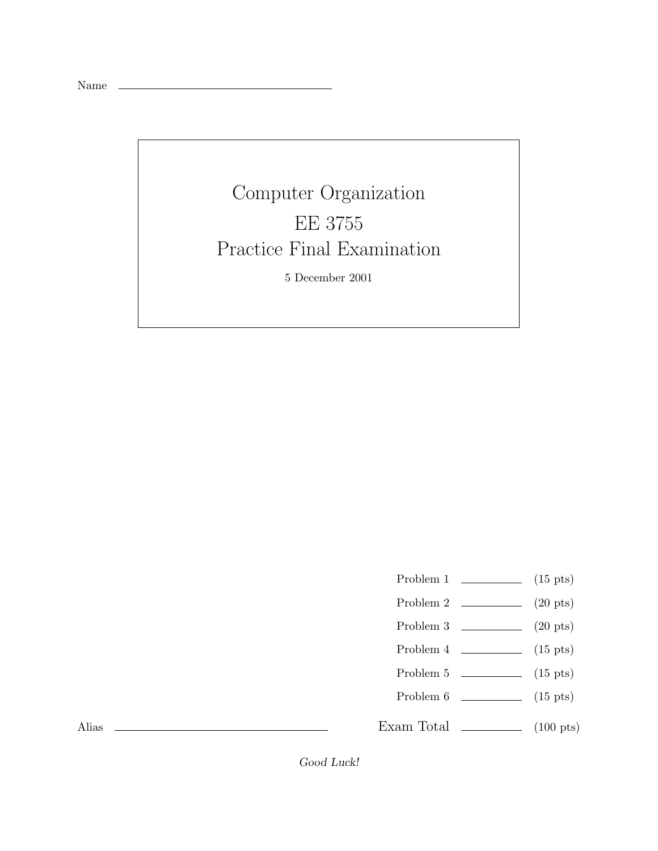Name

## Computer Organization Practice Final Examination Practice Final Examination 5 December 2001

- Problem 1  $\qquad \qquad$  (15 pts)
- Problem 2  $\qquad \qquad$  (20 pts)
- Problem 3 (20 pts)
- Problem  $4 \t\t(15 \text{ pts})$
- Problem 5 (15 pts)
- Problem 6 (15 pts)

Exam Total  $\qquad \qquad$  (100 pts)

Alias

*Good Luck!*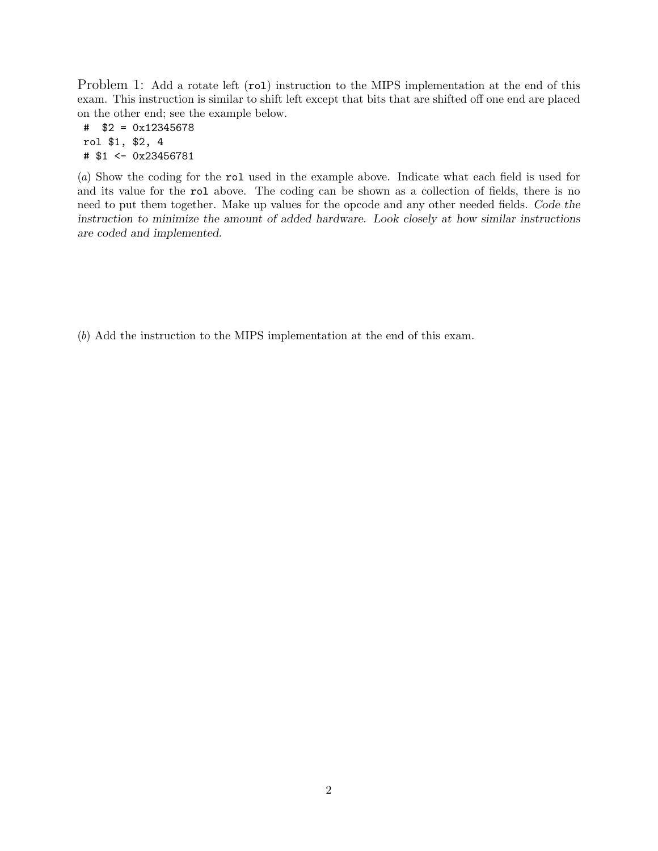Problem 1: Add a rotate left (rol) instruction to the MIPS implementation at the end of this exam. This instruction is similar to shift left except that bits that are shifted off one end are placed on the other end; see the example below.

# \$2 = 0x12345678 rol \$1, \$2, 4 # \$1 <- 0x23456781

(*a*) Show the coding for the rol used in the example above. Indicate what each field is used for and its value for the rol above. The coding can be shown as a collection of fields, there is no need to put them together. Make up values for the opcode and any other needed fields. *Code the instruction to minimize the amount of added hardware. Look closely at how similar instructions are coded and implemented.*

(*b*) Add the instruction to the MIPS implementation at the end of this exam.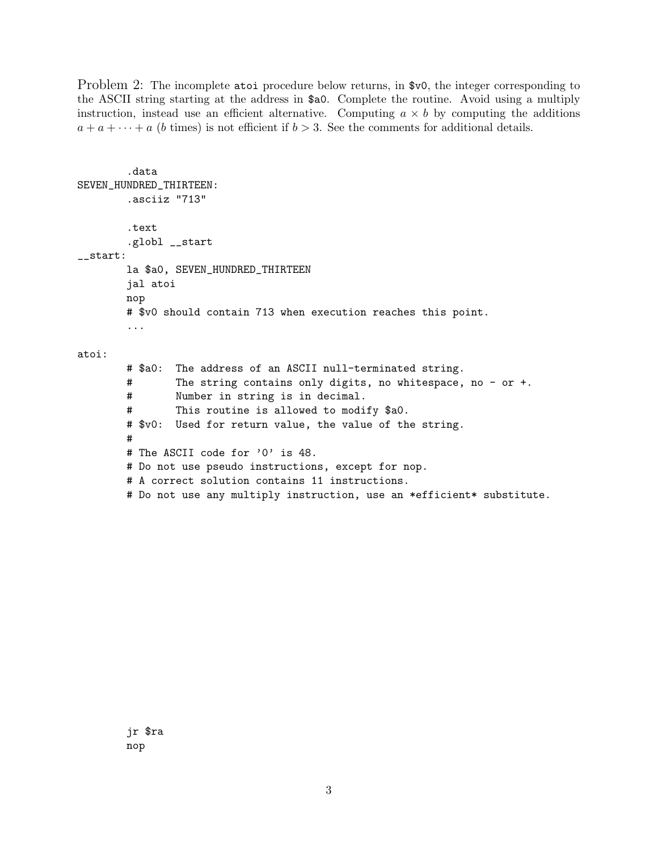Problem 2: The incomplete atoi procedure below returns, in \$v0, the integer corresponding to the ASCII string starting at the address in \$a0. Complete the routine. Avoid using a multiply instruction, instead use an efficient alternative. Computing  $a \times b$  by computing the additions  $a + a + \cdots + a$  (b times) is not efficient if  $b > 3$ . See the comments for additional details.

```
.data
SEVEN_HUNDRED_THIRTEEN:
        .asciiz "713"
        .text
        .globl __start
__start:
       la $a0, SEVEN_HUNDRED_THIRTEEN
       jal atoi
       nop
       # $v0 should contain 713 when execution reaches this point.
        ...
atoi:
       # $a0: The address of an ASCII null-terminated string.
       # The string contains only digits, no whitespace, no - or +.
       # Number in string is in decimal.
        # This routine is allowed to modify $a0.
       # $v0: Used for return value, the value of the string.
       #
       # The ASCII code for '0' is 48.
       # Do not use pseudo instructions, except for nop.
       # A correct solution contains 11 instructions.
       # Do not use any multiply instruction, use an *efficient* substitute.
```
jr \$ra nop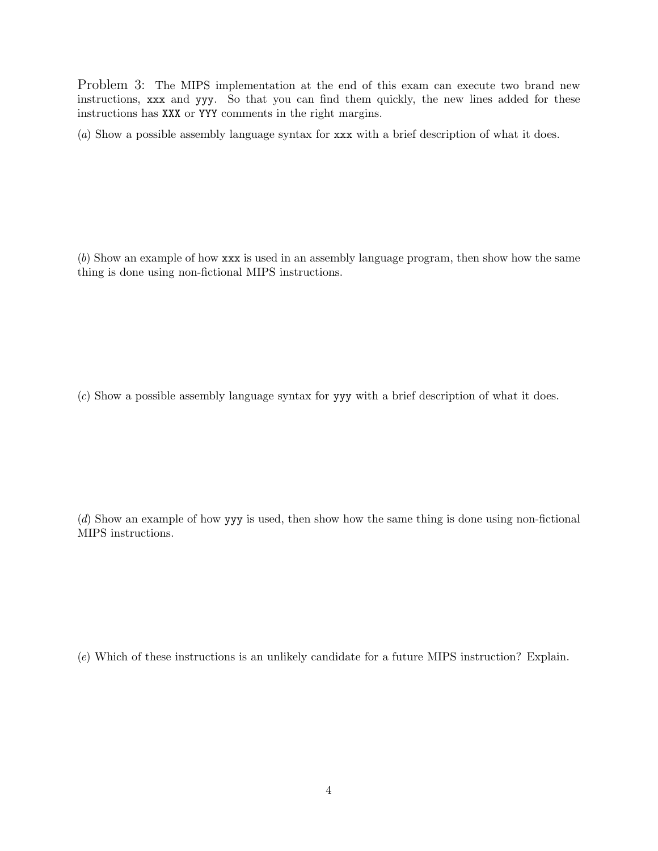Problem 3: The MIPS implementation at the end of this exam can execute two brand new instructions, xxx and yyy. So that you can find them quickly, the new lines added for these instructions has XXX or YYY comments in the right margins.

(*a*) Show a possible assembly language syntax for xxx with a brief description of what it does.

(*b*) Show an example of how xxx is used in an assembly language program, then show how the same thing is done using non-fictional MIPS instructions.

(*c*) Show a possible assembly language syntax for yyy with a brief description of what it does.

(*d*) Show an example of how yyy is used, then show how the same thing is done using non-fictional MIPS instructions.

(*e*) Which of these instructions is an unlikely candidate for a future MIPS instruction? Explain.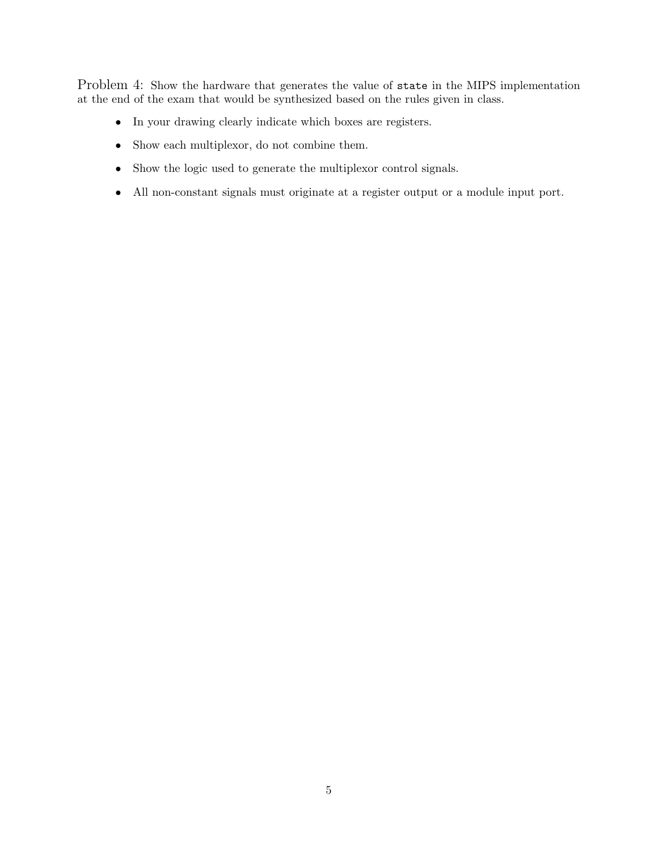Problem 4: Show the hardware that generates the value of state in the MIPS implementation at the end of the exam that would be synthesized based on the rules given in class.

- In your drawing clearly indicate which boxes are registers.
- Show each multiplexor, do not combine them.
- Show the logic used to generate the multiplexor control signals.
- All non-constant signals must originate at a register output or a module input port.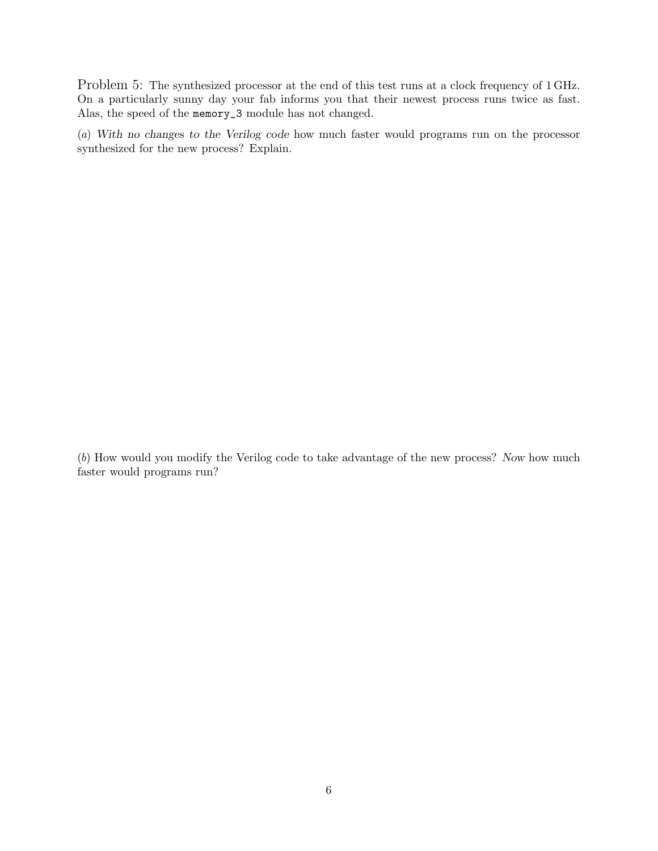Problem 5: The synthesized processor at the end of this test runs at a clock frequency of 1 GHz. On a particularly sunny day your fab informs you that their newest process runs twice as fast. Alas, the speed of the memory\_3 module has not changed.

(*a*) *With no changes to the Verilog code* how much faster would programs run on the processor synthesized for the new process? Explain.

(*b*) How would you modify the Verilog code to take advantage of the new process? *Now* how much faster would programs run?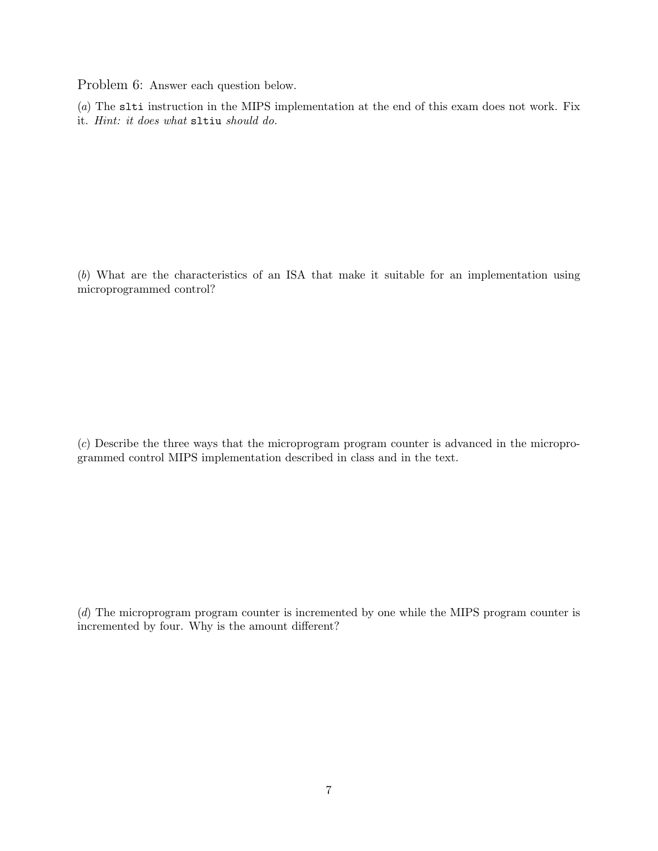Problem 6: Answer each question below.

(*a*) The slti instruction in the MIPS implementation at the end of this exam does not work. Fix it. *Hint: it does what* sltiu *should do.*

(*b*) What are the characteristics of an ISA that make it suitable for an implementation using microprogrammed control?

(*c*) Describe the three ways that the microprogram program counter is advanced in the microprogrammed control MIPS implementation described in class and in the text.

(*d*) The microprogram program counter is incremented by one while the MIPS program counter is incremented by four. Why is the amount different?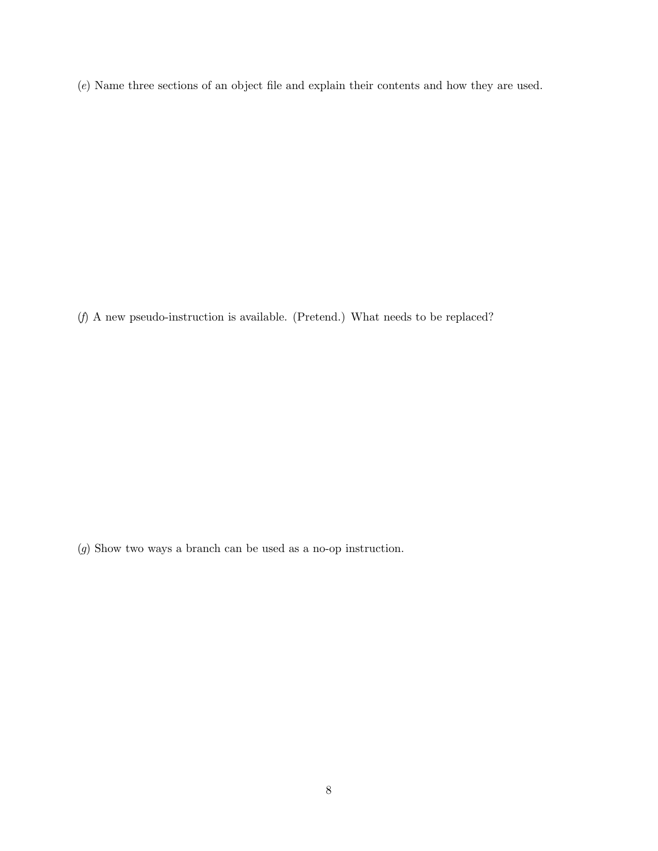(*e*) Name three sections of an object file and explain their contents and how they are used.

(*f*) A new pseudo-instruction is available. (Pretend.) What needs to be replaced?

(*g*) Show two ways a branch can be used as a no-op instruction.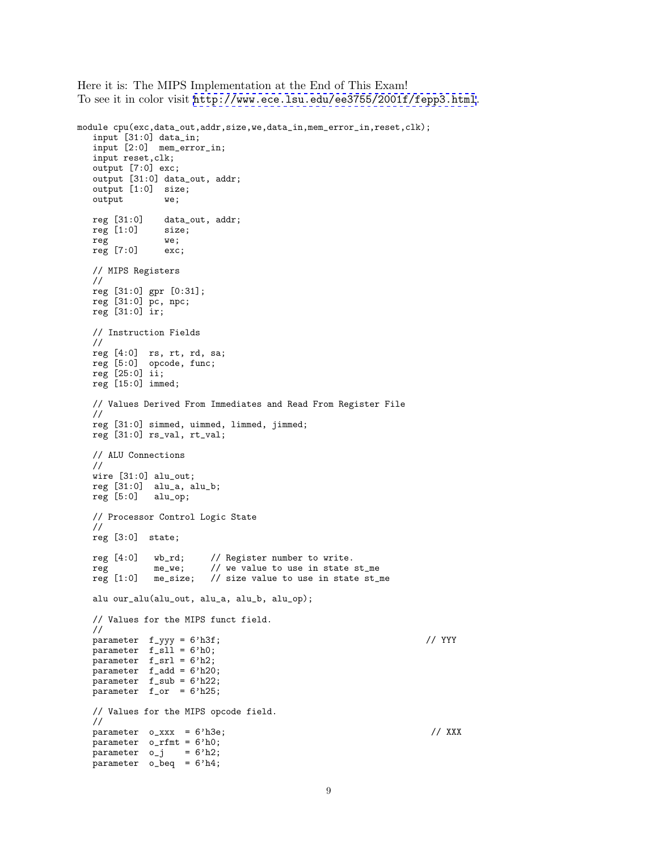Here it is: The MIPS Implementation at the End of This Exam! To see it in color visit <http://www.ece.lsu.edu/ee3755/2001f/fepp3.html>.

```
module cpu(exc,data_out,addr,size,we,data_in,mem_error_in,reset,clk);
   input [31:0] data_in;
   input [2:0] mem_error_in;
   input reset,clk;
   output [7:0] exc;
   output [31:0] data_out, addr;
   output [1:0] size;
  output we;
  reg [31:0] data_out, addr;<br>reg [1:0] size;
  reg [1:0] siz<br>reg we;
   reg
  reg [7:0] exc;
  // MIPS Registers
  //
  reg [31:0] gpr [0:31];
  reg [31:0] pc, npc;
  reg [31:0] ir;
  // Instruction Fields
   //
   reg [4:0] rs, rt, rd, sa;
   reg [5:0] opcode, func;
   reg [25:0] ii;
  reg [15:0] immed;
   // Values Derived From Immediates and Read From Register File
   //
   reg [31:0] simmed, uimmed, limmed, jimmed;
  reg [31:0] rs_val, rt_val;
   // ALU Connections
   //
   wire [31:0] alu_out;
  reg [31:0] alu_a, alu_b;
  reg [5:0] alu_op;
   // Processor Control Logic State
   //
  reg [3:0] state;
  reg [4:0] wb_rd; // Register number to write.<br>reg me_we; // we value to use in state
  reg me_we; // we value to use in state st_me reg [1:0] me_size; // size value to use in state st_1
                          // size value to use in state st\_mealu our_alu(alu_out, alu_a, alu_b, alu_op);
   // Values for the MIPS funct field.
   //
  parameter f_yyy = 6'h3f; // YYY
  parameter f\_s11 = 6'h0;
  parameter f_srl = 6'h2;
  parameter f_add = 6'h20;
   parameter f_sub = 6'h22;
   parameter f_or = 6'h25;
   // Values for the MIPS opcode field.
   //
   parameter o_xxx = 6'h3e; // XXX
   parameter o_rfmt = 6'h0;
   parameter o_j = 6'h2;parameter o_beq = 6'h4;
```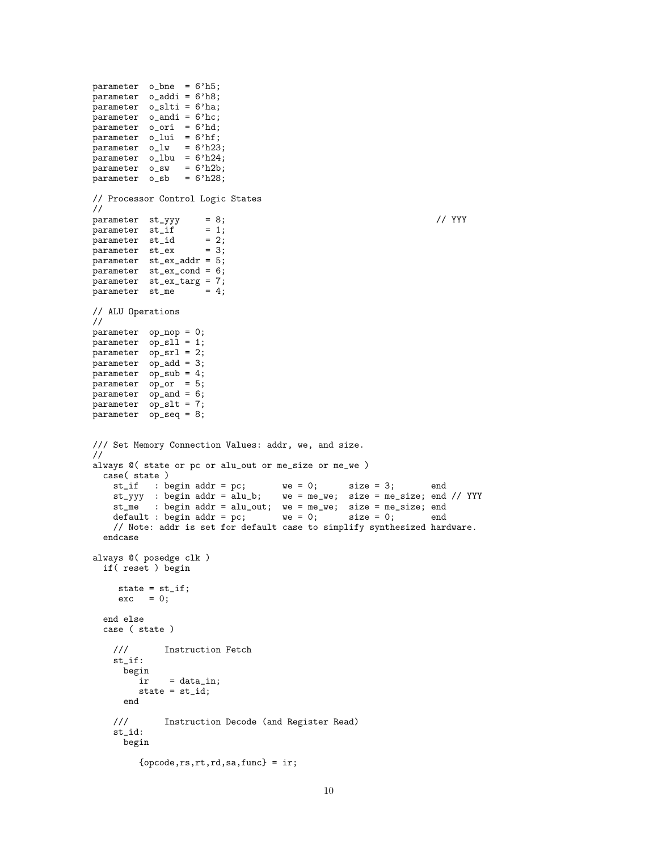parameter o\_bne = 6'h5; parameter o\_addi = 6'h8; parameter o\_slti = 6'ha; parameter o\_andi = 6'hc; parameter o\_ori = 6'hd; parameter  $o$ <sub>-lui</sub> =  $6'$ hf;  $parameter$  o\_lw =  $6'h23;$ parameter o\_lbu = 6'h24; parameter o\_sw = 6'h2b;  $parameter$   $o$ <sub>sb</sub> =  $6'h28;$ // Processor Control Logic States //  $\begin{array}{lll} \texttt{parameter} & \texttt{st\_yyy} & = & 8; \\ \texttt{parameter} & \texttt{st\_if} & = & 1; \end{array}$  // YYY parameter  $st_i$  = 1;<br>narameter  $st_id$  = 2; parameter st\_id parameter st\_ex = 3; parameter st\_ex\_addr = 5; parameter st\_ex\_cond = 6;  $\frac{1}{2}$  parameter st\_ex\_targ = 7;<br>parameter st\_me = 4; parameter st\_me // ALU Operations // parameter op\_nop = 0; parameter op\_sll = 1; parameter op\_srl = 2; parameter op\_add = 3; parameter op\_sub = 4; parameter op\_or = 5; parameter op\_and = 6; parameter op\_slt = 7; parameter op\_seq = 8; /// Set Memory Connection Values: addr, we, and size. // always @( state or pc or alu\_out or me\_size or me\_we ) case( state ) st\_if : begin addr = pc; we = 0; size = 3; end st\_yyy : begin addr = alu\_b; we = me\_we; size = me\_size; end // YYY st\_me : begin addr = alu\_out; we = me\_we; size = me\_size; end<br>default : begin addr = pc; we = 0; size = 0; end  $default : begin addr = pc;$ // Note: addr is set for default case to simplify synthesized hardware. endcase always @( posedge clk ) if( reset ) begin state =  $st_if;$  $exc = 0;$ end else case ( state ) /// Instruction Fetch st\_if:  $\begin{array}{c} \texttt{begin}\n \texttt{ir} \end{array} \end{array}$  $=$  data\_in; state = st\_id; end /// Instruction Decode (and Register Read) st\_id: begin  $\{opcode,rs,rt,rd,sa,func\} = ir;$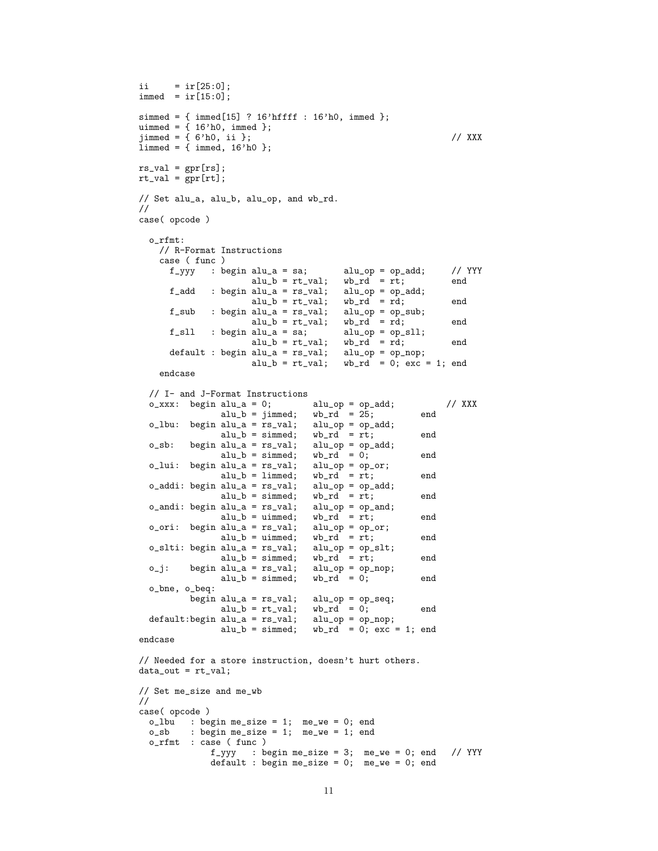```
i i = ir[25:0];immed = ir[15:0];simmed = { immed[15] ? 16'hffff : 16'h0, immed };
uimmed = \{ 16'h0, \text{immed } \};jimmed = { 6'h0, ii }; // XXX
limmed = {immed, 16'h0 };rs\_val = gpr[rs];rt_val = gpr[rt];// Set alu_a, alu_b, alu_op, and wb_rd.
//
case( opcode )
  o_rfmt:
     // R-Format Instructions
     case ( func )
        f_yyy : begin alu_a = sa; alu_op = op_add; // YYY
                            alu_b = rt_val; wb_rd = rt; end
        f\_add : begin alu_a = rs_val; alu_op = op_add;<br>alu_b = rt_val; wb_rd = rd;
                            alu_b = rt_val; wb_rd = rd; end<br>alu_a = rs_val; alu_op = op_sub;\begin{array}{llll} \texttt{f\_sub} & : \texttt{begin} & \texttt{alu\_a = rs\_val}; & \texttt{alu\_op = op\_s} \\ & \texttt{alu\_b = rt\_val}; & \texttt{wb\_rd = rd}; \end{array} \end{array}alu_b = rt_val; wb_rrd = rd; end<br>alu_a = sa; alu_op = op_sll;f_sll : begin alu_a = sa; alu_op = op_s<br>alu_b = rt_val; wb_rd = rd;
                            alu_b = rt_val; wb_rd = rd; end<br>alu_a = rs_val; alu_op = op_nop;default : begin alu_a = rs\_val;<br>alu_b = rt\_val;
                                                    wb\_rd = 0; exc = 1; end
     endcase
   // I- and J-Format Instructions
  o\_xxx: begin alu_a = 0; alu_op = op_add; // XXX<br>alu_b = jimmed; wb_rd = 25; end
                     alu_b = jimmed; wb_rd = 25; end
   o_lbu: begin alu_a = rs_val; alu_op = op_add;
                     alu_b = simmed; wb\_rd = rt; end<br>alu_a = rs_val; alu_op = op_add;
  o_sb: begin alu_a = rs_val; alu_op = op<br>alu_b = simmed; wb_r d = 0;alu_b = simmed; wb_rd = 0; end<br>alu_a = rs_val; alu_op = op_or;o_lui: begin alu_a = rs_val; alu_op = op_<br>alu_b = limmed; wb_rd = rt;
                     alu_b = limmed; wb_rcd = rt; end<br>alu_a = rs_vval; alu_op = op_add;o_addi: begin alu_a = rs\_val; alu_op = op_{at}<br>alu_b = simed; wb_rd = rt;
                     alu_b = simmed; wb\_rd = rt; end
  o_andi: begin alu_a = rs_val; alu_op = op_and;
                     alu_b = uimmed; wb_rd = rt; end
  o_ori: begin alu_a = rs\_val;<br>alu_b = uimmed;
                                            \begin{array}{ll}\n\text{all\_op = op\_or;} \\
\text{wb\_rd = rt;} \\
\text{all\_op = op\_slt;} \\
\end{array}o\_slti: begin alu_a = rs\_val;alu_b = simmed; wb\_rd = rt; end<br>alu_a = rs\_val; alu\_op = op\_nop;
  o_j: begin alu_a = rs_val; alu_op = op<br>alu_b = simmed; wb_rd = 0;
                     alu_b = simmed; \quad wb_r d = 0; \quad endo_bne, o_beq:
             begin alu_a = rs\_val; alu_op = op\_seq;<br>alu_b = rt\_val; wb_rd = 0;
                     alu_b = rt_val; wb_rd = 0; end<br>alu_a = rs_val; alu_op = op_nop;default:begin alu_a = rs\_val;<br>alu_b = simmed;
                                            wb\_rd = 0; exc = 1; end
endcase
// Needed for a store instruction, doesn't hurt others.
data_out = rt_val;// Set me_size and me_wb
//
case( opcode )
  o_lbu : begin me_size = 1; me_we = 0; end<br>o_sb : begin me_size = 1; me_we = 1; end
             : begin me_size = 1; me_we = 1; end
  o_rfmt : case ( func )
                  f_{-}yyy : begin me_size = 3; me_we = 0; end // YYY
                  default : begin me_size = 0; me_we = 0; end
```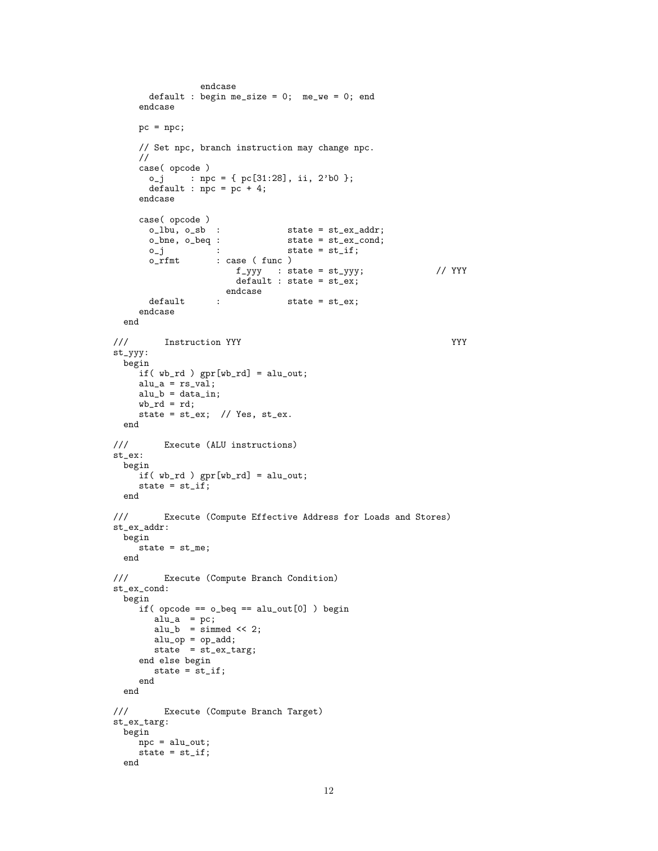```
endcase
         default : begin me_size = 0; me_we = 0; end
      endcase
      pc = npc;// Set npc, branch instruction may change npc.
      //
      case( opcode )
        o_j : npc = { pc[31:28], ii, 2'b0 };
         default : npc = pc + 4;
      endcase
      case( opcode )<br>o_lbu, o_sb :
         o_lbu, o_sb : state = st_ex_addr;<br>o_bne, o_beq : state = st_ex_cond;
                     \begin{tabular}{ll} beq: & \end{tabular} \begin{tabular}{ll} \multicolumn{2}{l}{{\footnotesize \begin{tabular}{l} \hline & \multicolumn{2}{c}{\text{8}}\end{tabular}}}} \begin{tabular}{ll} \multicolumn{2}{c}{\text{8}}\end{tabular}} \begin{tabular}{ll} \multicolumn{2}{c}{\text{8}}\end{tabular}} \begin{tabular}{ll} \multicolumn{2}{c}{\text{8}}\end{tabular}} \begin{tabular}{ll} \multicolumn{2}{c}{\text{8}}\end{tabular}} \begin{tabular}{ll} \multicolumn{2}{c}{\text{8}}\end{tabular}} \begin{tabular}{llo_j : state = st_if;<br>o_rfmt : case (func)
                          : case ( func )
                               f_{-}yyy : state = st_{-}yyy; // YYY
                                default : state = st_ex;endcase
         default : state = st_ex;
      endcase
  end
/// Instruction YYY
st_yyy:
  begin
      if( wb_rd ) gpr[wb_rd] = alu_out;
      alu_a = rs_val;alu_b = data_in;wb\_rd = rd;state = st_ex; // Yes, st_ex.
  end
/// Execute (ALU instructions)
st_ex:
  begin
      if( wb_rd ) gpr[wb_rd] = alu_out;
      state = st_if;end
/// Execute (Compute Effective Address for Loads and Stores)
st_ex_addr:
  begin
     state = st_me;
  end
/// Execute (Compute Branch Condition)
st_ex_cond:
  begin
      if( opcode == o_beq == alu_out[0] ) begin
          alu_a = pc;
          alu_b = simmed << 2;
           alu_op = op_add;
           state = st_ex_targ;
      end else begin
         state = st_if;
      end
  end
/// Execute (Compute Branch Target)
st_ex_targ:
  begin
      npc = alu_out;
     state = st_if;end
```